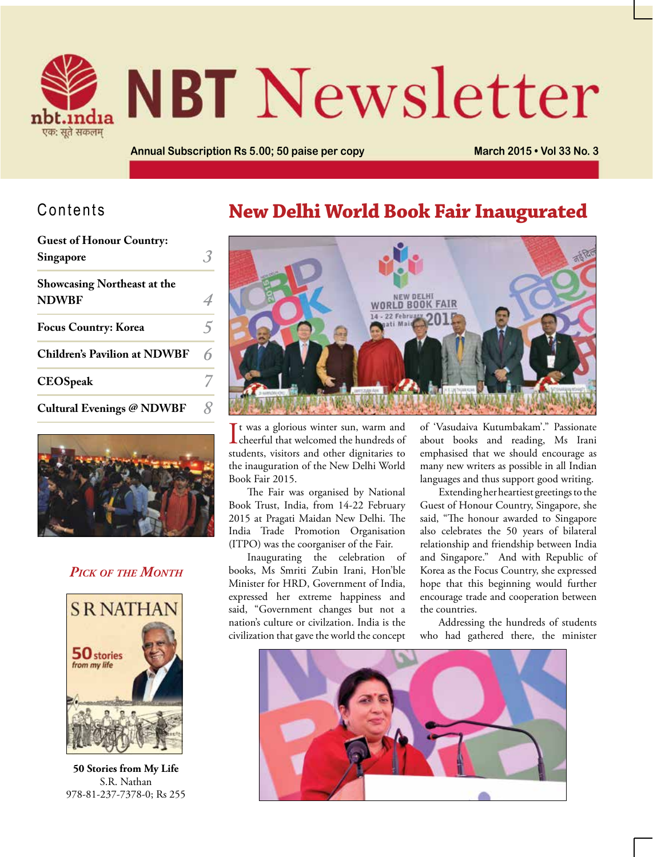

# **NBT** Newsletter

**Annual Subscription Rs 5.00; 50 paise per copy March 2015 • Vol 33 No. 3**

#### Contents

| <b>Guest of Honour Country:</b>     |   |
|-------------------------------------|---|
| Singapore                           |   |
| <b>Showcasing Northeast at the</b>  |   |
| <b>NDWBF</b>                        |   |
| <b>Focus Country: Korea</b>         | ↰ |
| <b>Children's Pavilion at NDWBF</b> | 6 |
| <b>CEOSpeak</b>                     |   |
| <b>Cultural Evenings @ NDWBF</b>    |   |



#### *Pick of the Month*



**50 Stories from My Life** S.R. Nathan 978-81-237-7378-0; Rs 255

### **New Delhi World Book Fair Inaugurated**



It was a glorious winter sun, warm and<br>cheerful that welcomed the hundreds of It was a glorious winter sun, warm and students, visitors and other dignitaries to the inauguration of the New Delhi World Book Fair 2015.

The Fair was organised by National Book Trust, India, from 14-22 February 2015 at Pragati Maidan New Delhi. The India Trade Promotion Organisation (ITPO) was the coorganiser of the Fair.

Inaugurating the celebration of books, Ms Smriti Zubin Irani, Hon'ble Minister for HRD, Government of India, expressed her extreme happiness and said, "Government changes but not a nation's culture or civilzation. India is the civilization that gave the world the concept of 'Vasudaiva Kutumbakam'." Passionate about books and reading, Ms Irani emphasised that we should encourage as many new writers as possible in all Indian languages and thus support good writing.

Extending her heartiest greetings to the Guest of Honour Country, Singapore, she said, "The honour awarded to Singapore also celebrates the 50 years of bilateral relationship and friendship between India and Singapore." And with Republic of Korea as the Focus Country, she expressed hope that this beginning would further encourage trade and cooperation between the countries.

Addressing the hundreds of students who had gathered there, the minister

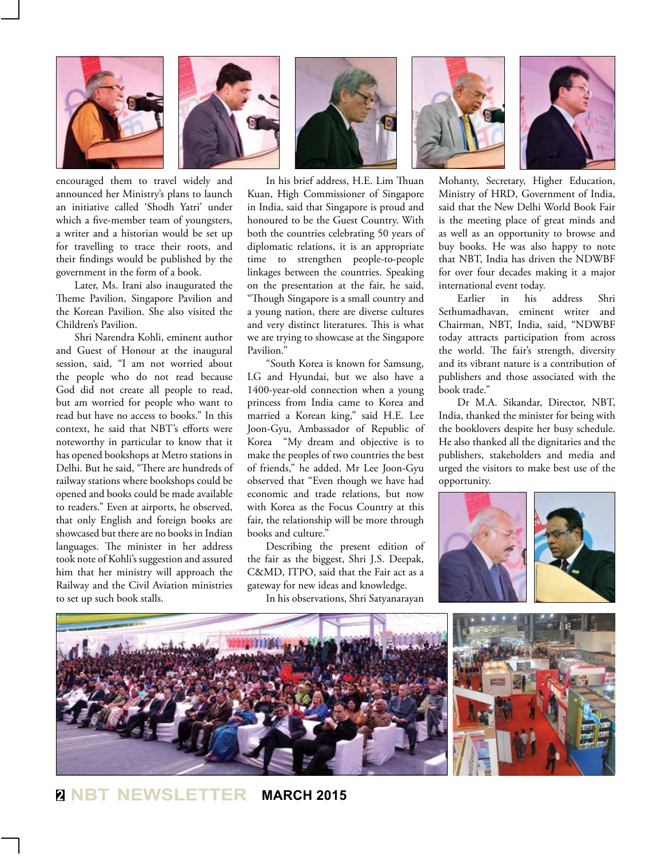



encouraged them to travel widely and announced her Ministry's plans to launch an initiative called 'Shodh Yatri' under which a five-member team of youngsters, a writer and a historian would be set up for travelling to trace their roots, and their findings would be published by the government in the form of a book.

Later, Ms. Irani also inaugurated the Theme Pavilion, Singapore Pavilion and the Korean Pavilion. She also visited the Children's Pavilion.

Shri Narendra Kohli, eminent author and Guest of Honour at the inaugural session, said, "I am not worried about the people who do not read because God did not create all people to read, but am worried for people who want to read but have no access to books." In this context, he said that NBT's efforts were noteworthy in particular to know that it has opened bookshops at Metro stations in Delhi. But he said, "There are hundreds of railway stations where bookshops could be opened and books could be made available to readers." Even at airports, he observed, that only English and foreign books are showcased but there are no books in Indian languages. The minister in her address took note of Kohli's suggestion and assured him that her ministry will approach the Railway and the Civil Aviation ministries to set up such book stalls.

In his brief address, H.E. Lim Thuan Kuan, High Commissioner of Singapore in India, said that Singapore is proud and honoured to be the Guest Country. With both the countries celebrating 50 years of diplomatic relations, it is an appropriate time to strengthen people-to-people linkages between the countries. Speaking on the presentation at the fair, he said, "Though Singapore is a small country and a young nation, there are diverse cultures and very distinct literatures. This is what we are trying to showcase at the Singapore Pavilion."

"South Korea is known for Samsung, LG and Hyundai, but we also have a 1400-year-old connection when a young princess from India came to Korea and married a Korean king," said H.E. Lee Joon-Gyu, Ambassador of Republic of Korea "My dream and objective is to make the peoples of two countries the best of friends," he added. Mr Lee Joon-Gyu observed that "Even though we have had economic and trade relations, but now with Korea as the Focus Country at this fair, the relationship will be more through books and culture."

Describing the present edition of the fair as the biggest, Shri J.S. Deepak, C&MD, ITPO, said that the Fair act as a gateway for new ideas and knowledge.

In his observations, Shri Satyanarayan





Mohanty, Secretary, Higher Education, Ministry of HRD, Government of India, said that the New Delhi World Book Fair is the meeting place of great minds and as well as an opportunity to browse and buy books. He was also happy to note that NBT, India has driven the NDWBF for over four decades making it a major international event today.

Earlier in his address Shri Sethumadhavan, eminent writer and Chairman, NBT, India, said, "NDWBF today attracts participation from across the world. The fair's strength, diversity and its vibrant nature is a contribution of publishers and those associated with the book trade."

Dr M.A. Sikandar, Director, NBT, India, thanked the minister for being with the booklovers despite her busy schedule. He also thanked all the dignitaries and the publishers, stakeholders and media and urged the visitors to make best use of the opportunity.



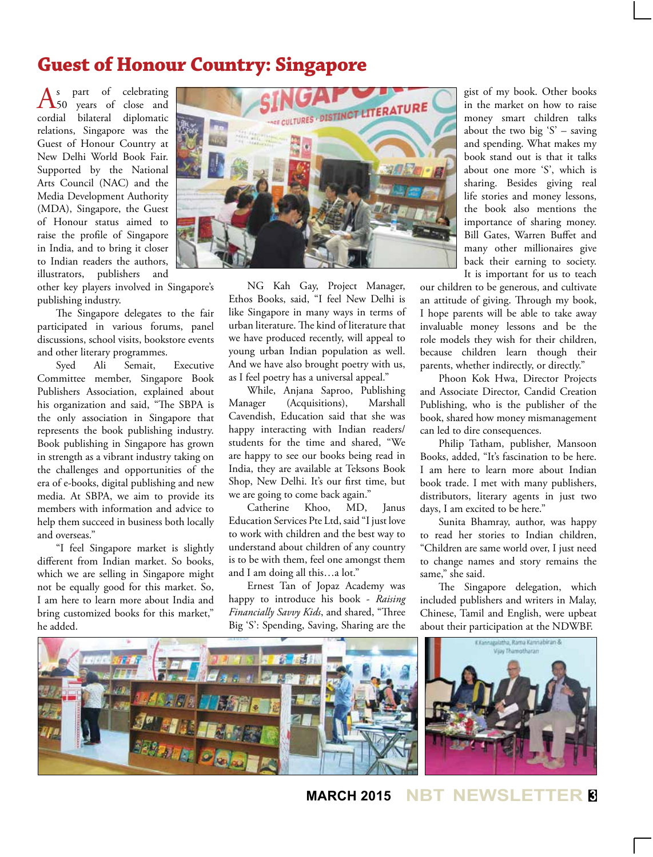## **Guest of Honour Country: Singapore**

 $\Delta_{50}^s$  part of celebrating<br> $\Delta_{50}^s$  years of close and cordial bilateral diplomatic relations, Singapore was the Guest of Honour Country at New Delhi World Book Fair. Supported by the National Arts Council (NAC) and the Media Development Authority (MDA), Singapore, the Guest of Honour status aimed to raise the profile of Singapore in India, and to bring it closer to Indian readers the authors, illustrators, publishers and

other key players involved in Singapore's publishing industry.

The Singapore delegates to the fair participated in various forums, panel discussions, school visits, bookstore events and other literary programmes.

Syed Ali Semait, Executive Committee member, Singapore Book Publishers Association, explained about his organization and said, "The SBPA is the only association in Singapore that represents the book publishing industry. Book publishing in Singapore has grown in strength as a vibrant industry taking on the challenges and opportunities of the era of e-books, digital publishing and new media. At SBPA, we aim to provide its members with information and advice to help them succeed in business both locally and overseas."

"I feel Singapore market is slightly different from Indian market. So books, which we are selling in Singapore might not be equally good for this market. So, I am here to learn more about India and bring customized books for this market," he added.



NG Kah Gay, Project Manager, Ethos Books, said, "I feel New Delhi is like Singapore in many ways in terms of urban literature. The kind of literature that we have produced recently, will appeal to young urban Indian population as well. And we have also brought poetry with us, as I feel poetry has a universal appeal."

While, Anjana Saproo, Publishing Manager (Acquisitions), Marshall Cavendish, Education said that she was happy interacting with Indian readers/ students for the time and shared, "We are happy to see our books being read in India, they are available at Teksons Book Shop, New Delhi. It's our first time, but we are going to come back again."<br>Catherine Khoo. MD.

Catherine Khoo, MD, Janus Education Services Pte Ltd, said "I just love to work with children and the best way to understand about children of any country is to be with them, feel one amongst them and I am doing all this…a lot."

Ernest Tan of Jopaz Academy was happy to introduce his book - *Raising Financially Savvy Kids*, and shared, "Three Big 'S': Spending, Saving, Sharing are the

gist of my book. Other books in the market on how to raise money smart children talks about the two big  $S'$  – saving and spending. What makes my book stand out is that it talks about one more 'S', which is sharing. Besides giving real life stories and money lessons, the book also mentions the importance of sharing money. Bill Gates, Warren Buffet and many other millionaires give back their earning to society. It is important for us to teach

our children to be generous, and cultivate an attitude of giving. Through my book, I hope parents will be able to take away invaluable money lessons and be the role models they wish for their children, because children learn though their parents, whether indirectly, or directly."

Phoon Kok Hwa, Director Projects and Associate Director, Candid Creation Publishing, who is the publisher of the book, shared how money mismanagement can led to dire consequences.

Philip Tatham, publisher, Mansoon Books, added, "It's fascination to be here. I am here to learn more about Indian book trade. I met with many publishers, distributors, literary agents in just two days, I am excited to be here."

Sunita Bhamray, author, was happy to read her stories to Indian children, "Children are same world over, I just need to change names and story remains the same," she said.

The Singapore delegation, which included publishers and writers in Malay, Chinese, Tamil and English, were upbeat about their participation at the NDWBF.



**MARCH 2015 NBT NEWSL**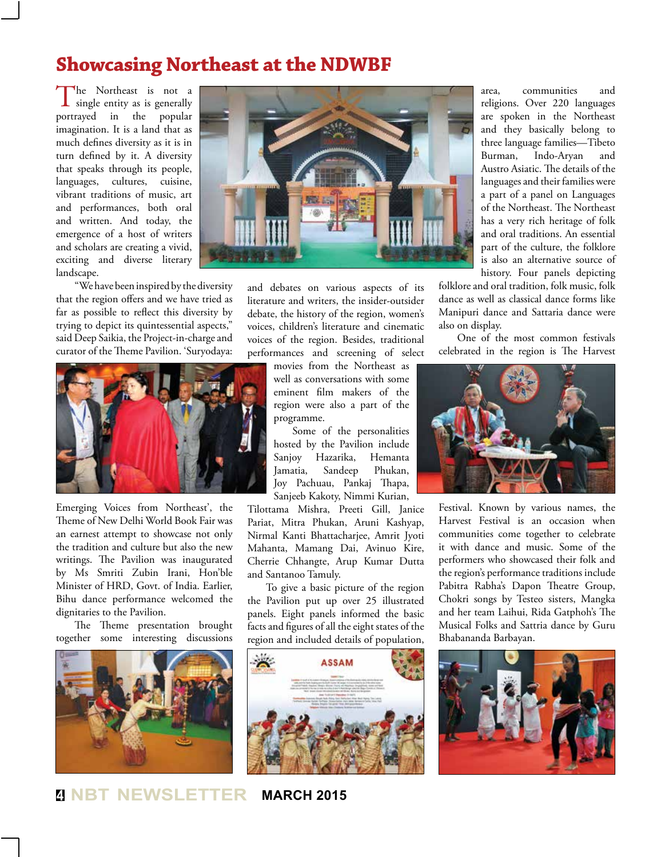#### **Showcasing Northeast at the NDWBF**

The Northeast is not a single entity as is generally portrayed in the popular imagination. It is a land that as much defines diversity as it is in turn defined by it. A diversity that speaks through its people, languages, cultures, cuisine, vibrant traditions of music, art and performances, both oral and written. And today, the emergence of a host of writers and scholars are creating a vivid, exciting and diverse literary landscape.

"We have been inspired by the diversity that the region offers and we have tried as far as possible to reflect this diversity by trying to depict its quintessential aspects," said Deep Saikia, the Project-in-charge and curator of the Theme Pavilion. 'Suryodaya:



Emerging Voices from Northeast', the Theme of New Delhi World Book Fair was an earnest attempt to showcase not only the tradition and culture but also the new writings. The Pavilion was inaugurated by Ms Smriti Zubin Irani, Hon'ble Minister of HRD, Govt. of India. Earlier, Bihu dance performance welcomed the dignitaries to the Pavilion.

The Theme presentation brought together some interesting discussions





and debates on various aspects of its literature and writers, the insider-outsider debate, the history of the region, women's voices, children's literature and cinematic voices of the region. Besides, traditional performances and screening of select

movies from the Northeast as well as conversations with some eminent film makers of the region were also a part of the programme.

Some of the personalities hosted by the Pavilion include Sanjoy Hazarika, Hemanta Jamatia, Sandeep Phukan, Joy Pachuau, Pankaj Thapa, Sanjeeb Kakoty, Nimmi Kurian,

Tilottama Mishra, Preeti Gill, Janice Pariat, Mitra Phukan, Aruni Kashyap, Nirmal Kanti Bhattacharjee, Amrit Jyoti Mahanta, Mamang Dai, Avinuo Kire, Cherrie Chhangte, Arup Kumar Dutta and Santanoo Tamuly.

To give a basic picture of the region the Pavilion put up over 25 illustrated panels. Eight panels informed the basic facts and figures of all the eight states of the region and included details of population,



area, communities and religions. Over 220 languages are spoken in the Northeast and they basically belong to three language families—Tibeto Burman, Indo-Aryan and Austro Asiatic. The details of the languages and their families were a part of a panel on Languages of the Northeast. The Northeast has a very rich heritage of folk and oral traditions. An essential part of the culture, the folklore is also an alternative source of history. Four panels depicting

folklore and oral tradition, folk music, folk dance as well as classical dance forms like Manipuri dance and Sattaria dance were also on display.

One of the most common festivals celebrated in the region is The Harvest



Festival. Known by various names, the Harvest Festival is an occasion when communities come together to celebrate it with dance and music. Some of the performers who showcased their folk and the region's performance traditions include Pabitra Rabha's Dapon Theatre Group, Chokri songs by Testeo sisters, Mangka and her team Laihui, Rida Gatphoh's The Musical Folks and Sattria dance by Guru Bhabananda Barbayan.

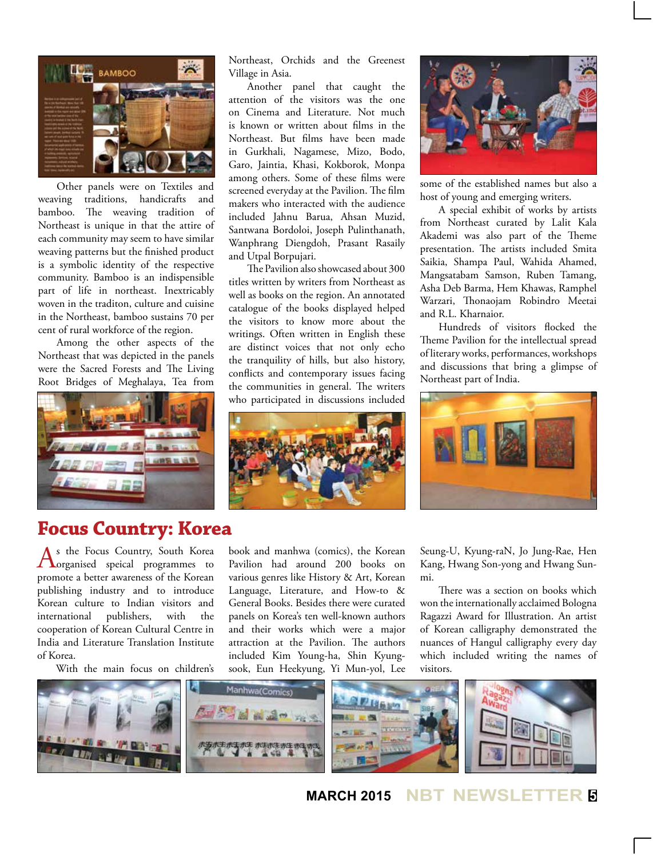

Other panels were on Textiles and weaving traditions, handicrafts and bamboo. The weaving tradition of Northeast is unique in that the attire of each community may seem to have similar weaving patterns but the finished product is a symbolic identity of the respective community. Bamboo is an indispensible part of life in northeast. Inextricably woven in the traditon, culture and cuisine in the Northeast, bamboo sustains 70 per cent of rural workforce of the region.

Among the other aspects of the Northeast that was depicted in the panels were the Sacred Forests and The Living Root Bridges of Meghalaya, Tea from



#### **Focus Country: Korea**

As the Focus Country, South Korea<br>
organised speical programmes to promote a better awareness of the Korean publishing industry and to introduce Korean culture to Indian visitors and international publishers, with the cooperation of Korean Cultural Centre in India and Literature Translation Institute of Korea.

With the main focus on children's

Northeast, Orchids and the Greenest Village in Asia.

Another panel that caught the attention of the visitors was the one on Cinema and Literature. Not much is known or written about films in the Northeast. But films have been made in Gurkhali, Nagamese, Mizo, Bodo, Garo, Jaintia, Khasi, Kokborok, Monpa among others. Some of these films were screened everyday at the Pavilion. The film makers who interacted with the audience included Jahnu Barua, Ahsan Muzid, Santwana Bordoloi, Joseph Pulinthanath, Wanphrang Diengdoh, Prasant Rasaily and Utpal Borpujari.

The Pavilion also showcased about 300 titles written by writers from Northeast as well as books on the region. An annotated catalogue of the books displayed helped the visitors to know more about the writings. Often written in English these are distinct voices that not only echo the tranquility of hills, but also history, conflicts and contemporary issues facing the communities in general. The writers who participated in discussions included





some of the established names but also a host of young and emerging writers.

A special exhibit of works by artists from Northeast curated by Lalit Kala Akademi was also part of the Theme presentation. The artists included Smita Saikia, Shampa Paul, Wahida Ahamed, Mangsatabam Samson, Ruben Tamang, Asha Deb Barma, Hem Khawas, Ramphel Warzari, Thonaojam Robindro Meetai and R.L. Kharnaior.

Hundreds of visitors flocked the Theme Pavilion for the intellectual spread of literary works, performances, workshops and discussions that bring a glimpse of Northeast part of India.



book and manhwa (comics), the Korean Pavilion had around 200 books on various genres like History & Art, Korean Language, Literature, and How-to & General Books. Besides there were curated panels on Korea's ten well-known authors and their works which were a major attraction at the Pavilion. The authors included Kim Young-ha, Shin Kyungsook, Eun Heekyung, Yi Mun-yol, Lee

Seung-U, Kyung-raN, Jo Jung-Rae, Hen Kang, Hwang Son-yong and Hwang Sunmi.

There was a section on books which won the internationally acclaimed Bologna Ragazzi Award for Illustration. An artist of Korean calligraphy demonstrated the nuances of Hangul calligraphy every day which included writing the names of visitors.



**MARCH 2015 NBT NEWSLETTER <sup>5</sup>**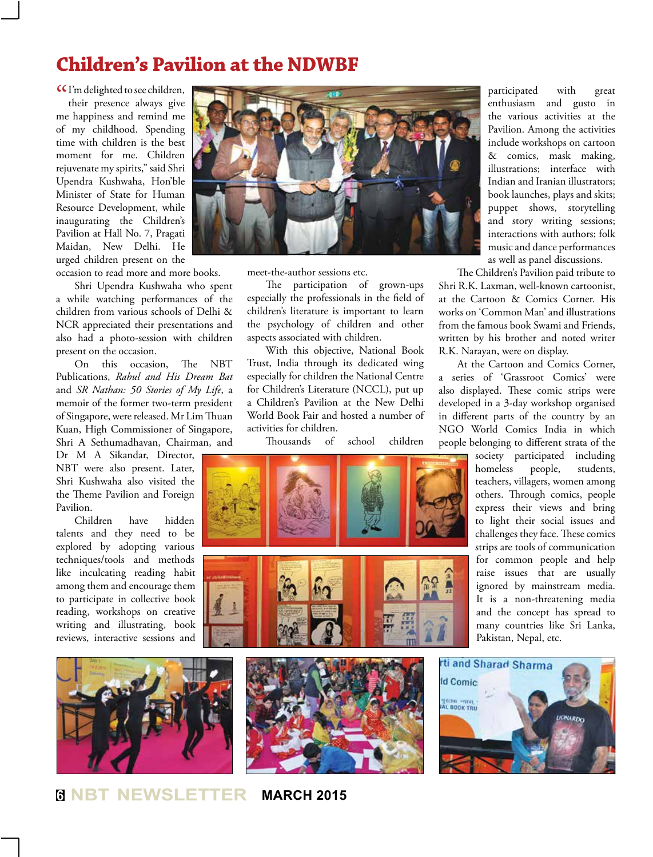#### **Children's Pavilion at the NDWBF**

C I'm delighted to see children,<br>their presence always give their presence always give me happiness and remind me of my childhood. Spending time with children is the best moment for me. Children rejuvenate my spirits," said Shri Upendra Kushwaha, Hon'ble Minister of State for Human Resource Development, while inaugurating the Children's Pavilion at Hall No. 7, Pragati Maidan, New Delhi. He urged children present on the

occasion to read more and more books.

Shri Upendra Kushwaha who spent a while watching performances of the children from various schools of Delhi & NCR appreciated their presentations and also had a photo-session with children present on the occasion.

On this occasion, The NBT Publications, *Rahul and His Dream Bat* and *SR Nathan: 50 Stories of My Life*, a memoir of the former two-term president of Singapore, were released. Mr Lim Thuan Kuan, High Commissioner of Singapore, Shri A Sethumadhavan, Chairman, and

Dr M A Sikandar, Director, NBT were also present. Later, Shri Kushwaha also visited the the Theme Pavilion and Foreign Pavilion.

Children have hidden talents and they need to be explored by adopting various techniques/tools and methods like inculcating reading habit among them and encourage them to participate in collective book reading, workshops on creative writing and illustrating, book reviews, interactive sessions and





meet-the-author sessions etc.

The participation of grown-ups especially the professionals in the field of children's literature is important to learn the psychology of children and other aspects associated with children.

With this objective, National Book Trust, India through its dedicated wing especially for children the National Centre for Children's Literature (NCCL), put up a Children's Pavilion at the New Delhi World Book Fair and hosted a number of activities for children.

Thousands of school children



participated with great enthusiasm and gusto in the various activities at the Pavilion. Among the activities include workshops on cartoon & comics, mask making, illustrations; interface with Indian and Iranian illustrators; book launches, plays and skits; puppet shows, storytelling and story writing sessions; interactions with authors; folk music and dance performances

as well as panel discussions.

The Children's Pavilion paid tribute to Shri R.K. Laxman, well-known cartoonist, at the Cartoon & Comics Corner. His works on 'Common Man' and illustrations from the famous book Swami and Friends, written by his brother and noted writer R.K. Narayan, were on display.

At the Cartoon and Comics Corner, a series of 'Grassroot Comics' were also displayed. These comic strips were developed in a 3-day workshop organised in different parts of the country by an NGO World Comics India in which people belonging to different strata of the

> society participated including homeless people, students, teachers, villagers, women among others. Through comics, people express their views and bring to light their social issues and challenges they face. These comics strips are tools of communication for common people and help raise issues that are usually ignored by mainstream media. It is a non-threatening media and the concept has spread to many countries like Sri Lanka, Pakistan, Nepal, etc.

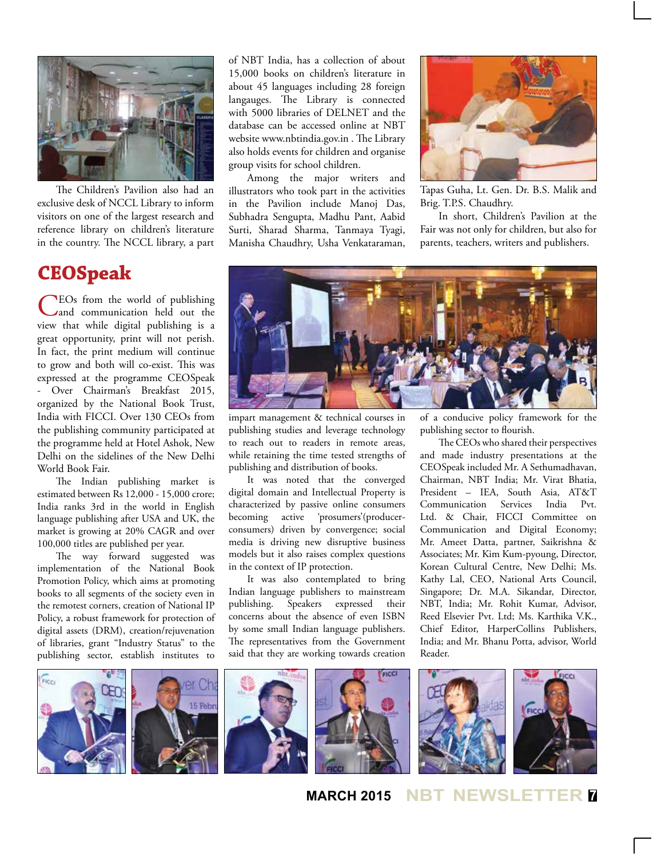

The Children's Pavilion also had an exclusive desk of NCCL Library to inform visitors on one of the largest research and reference library on children's literature in the country. The NCCL library, a part

#### **CEOSpeak**

CEOs from the world of publishing and communication held out the view that while digital publishing is a great opportunity, print will not perish. In fact, the print medium will continue to grow and both will co-exist. This was expressed at the programme CEOSpeak - Over Chairman's Breakfast 2015, organized by the National Book Trust, India with FICCI. Over 130 CEOs from the publishing community participated at the programme held at Hotel Ashok, New Delhi on the sidelines of the New Delhi World Book Fair.

The Indian publishing market is estimated between Rs 12,000 - 15,000 crore; India ranks 3rd in the world in English language publishing after USA and UK, the market is growing at 20% CAGR and over 100,000 titles are published per year.

The way forward suggested was implementation of the National Book Promotion Policy, which aims at promoting books to all segments of the society even in the remotest corners, creation of National IP Policy, a robust framework for protection of digital assets (DRM), creation/rejuvenation of libraries, grant "Industry Status" to the publishing sector, establish institutes to

of NBT India, has a collection of about 15,000 books on children's literature in about 45 languages including 28 foreign langauges. The Library is connected with 5000 libraries of DELNET and the database can be accessed online at NBT website www.nbtindia.gov.in . The Library also holds events for children and organise group visits for school children.

Among the major writers and illustrators who took part in the activities in the Pavilion include Manoj Das, Subhadra Sengupta, Madhu Pant, Aabid Surti, Sharad Sharma, Tanmaya Tyagi, Manisha Chaudhry, Usha Venkataraman,



Tapas Guha, Lt. Gen. Dr. B.S. Malik and Brig. T.P.S. Chaudhry.

In short, Children's Pavilion at the Fair was not only for children, but also for parents, teachers, writers and publishers.



impart management & technical courses in publishing studies and leverage technology to reach out to readers in remote areas, while retaining the time tested strengths of publishing and distribution of books.

It was noted that the converged digital domain and Intellectual Property is characterized by passive online consumers becoming active 'prosumers'(producerconsumers) driven by convergence; social media is driving new disruptive business models but it also raises complex questions in the context of IP protection.

It was also contemplated to bring Indian language publishers to mainstream publishing. Speakers expressed their concerns about the absence of even ISBN by some small Indian language publishers. The representatives from the Government said that they are working towards creation

of a conducive policy framework for the publishing sector to flourish.

The CEOs who shared their perspectives and made industry presentations at the CEOSpeak included Mr. A Sethumadhavan, Chairman, NBT India; Mr. Virat Bhatia, President – IEA, South Asia, AT&T Communication Services India Pvt. Ltd. & Chair, FICCI Committee on Communication and Digital Economy; Mr. Ameet Datta, partner, Saikrishna & Associates; Mr. Kim Kum-pyoung, Director, Korean Cultural Centre, New Delhi; Ms. Kathy Lal, CEO, National Arts Council, Singapore; Dr. M.A. Sikandar, Director, NBT, India; Mr. Rohit Kumar, Advisor, Reed Elsevier Pvt. Ltd; Ms. Karthika V.K., Chief Editor, HarperCollins Publishers, India; and Mr. Bhanu Potta, advisor, World Reader.



**MARCH 2015 NBT NEWSLETTER <sup>7</sup>**